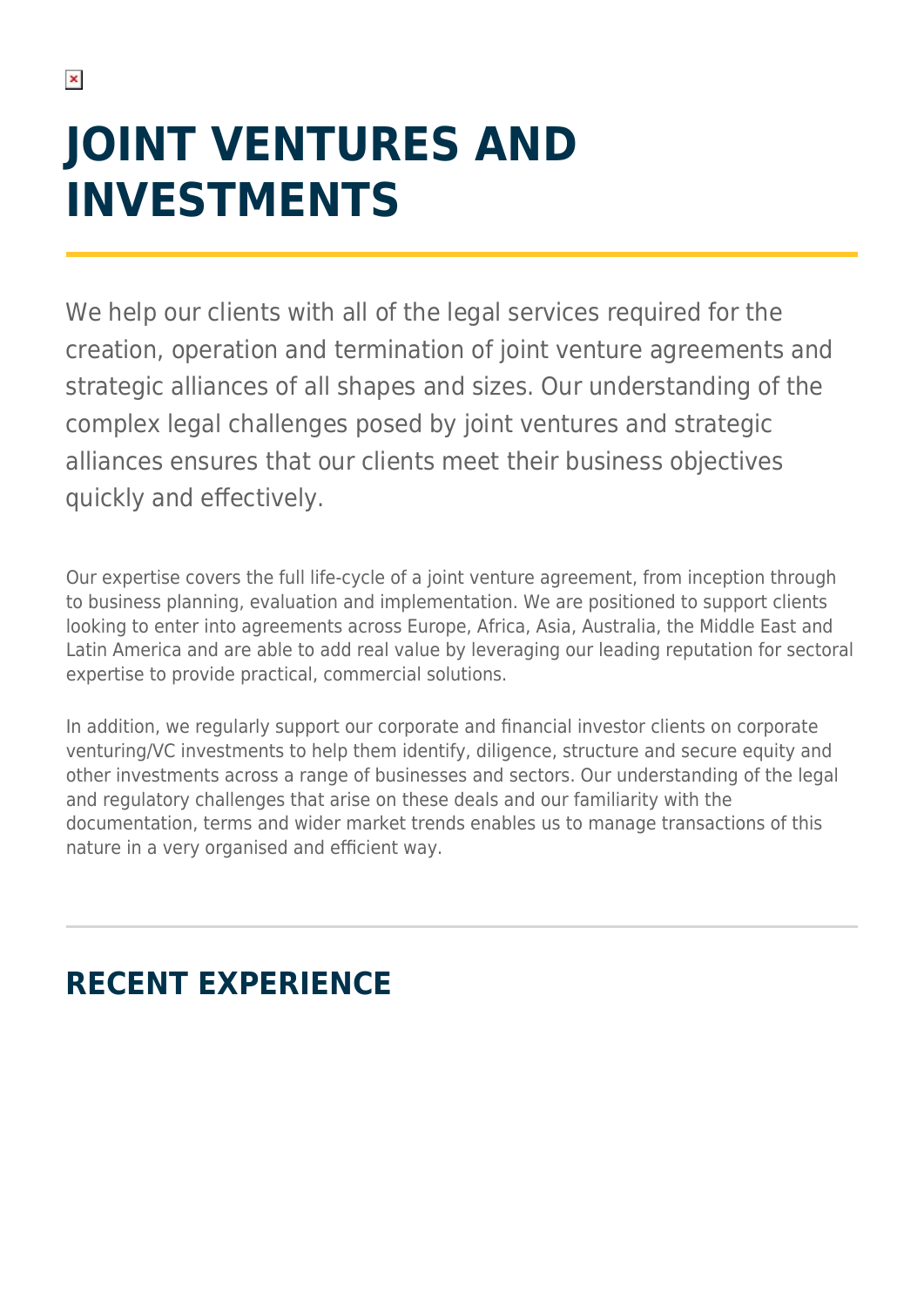# **JOINT VENTURES AND INVESTMENTS**

We help our clients with all of the legal services required for the creation, operation and termination of joint venture agreements and strategic alliances of all shapes and sizes. Our understanding of the complex legal challenges posed by joint ventures and strategic alliances ensures that our clients meet their business objectives quickly and effectively.

Our expertise covers the full life-cycle of a joint venture agreement, from inception through to business planning, evaluation and implementation. We are positioned to support clients looking to enter into agreements across Europe, Africa, Asia, Australia, the Middle East and Latin America and are able to add real value by leveraging our leading reputation for sectoral expertise to provide practical, commercial solutions.

In addition, we regularly support our corporate and financial investor clients on corporate venturing/VC investments to help them identify, diligence, structure and secure equity and other investments across a range of businesses and sectors. Our understanding of the legal and regulatory challenges that arise on these deals and our familiarity with the documentation, terms and wider market trends enables us to manage transactions of this nature in a very organised and efficient way.

# **RECENT EXPERIENCE**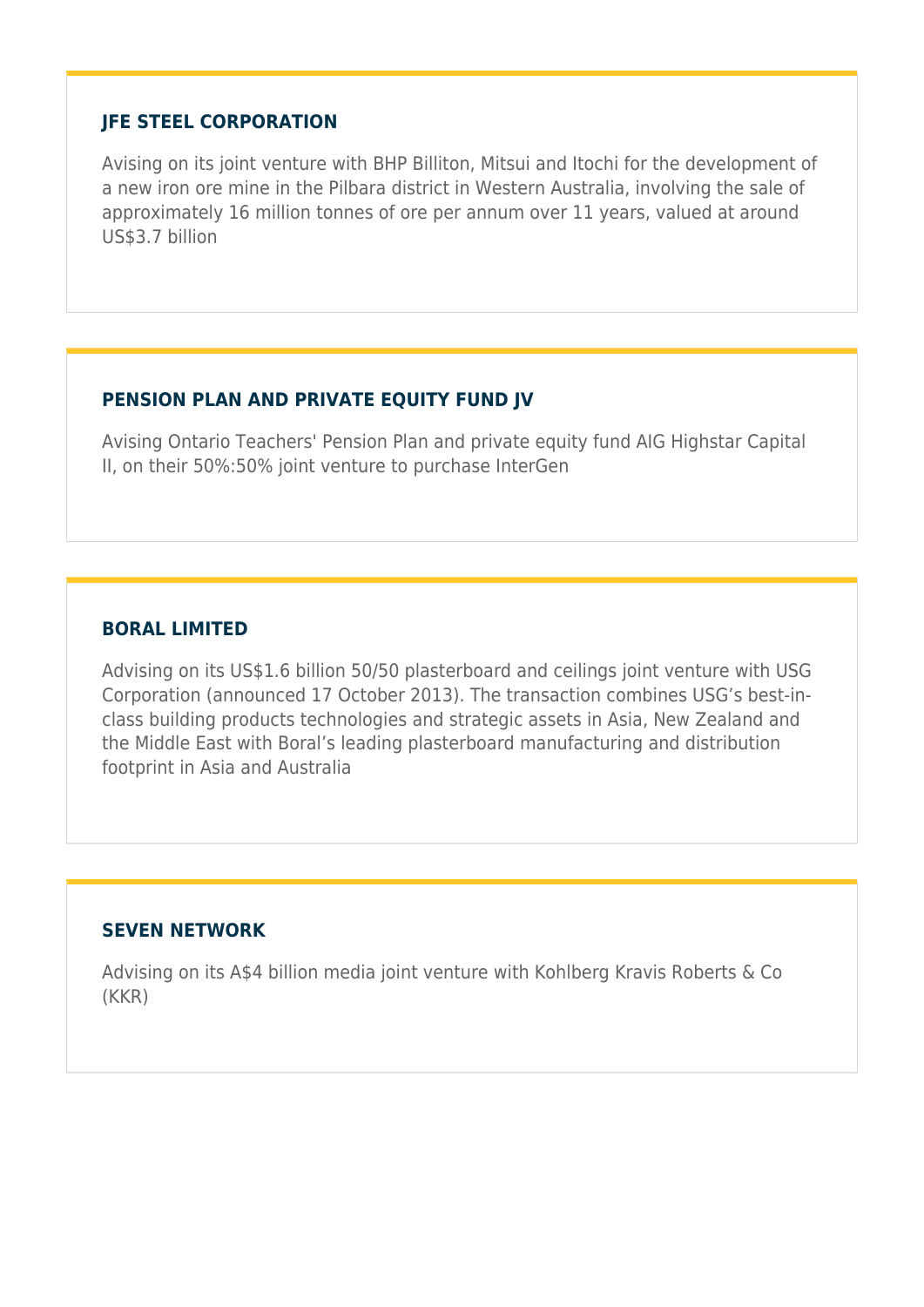#### **JFE STEEL CORPORATION**

Avising on its joint venture with BHP Billiton, Mitsui and Itochi for the development of a new iron ore mine in the Pilbara district in Western Australia, involving the sale of approximately 16 million tonnes of ore per annum over 11 years, valued at around US\$3.7 billion

## **PENSION PLAN AND PRIVATE EQUITY FUND JV**

Avising Ontario Teachers' Pension Plan and private equity fund AIG Highstar Capital II, on their 50%:50% joint venture to purchase InterGen

## **BORAL LIMITED**

Advising on its US\$1.6 billion 50/50 plasterboard and ceilings joint venture with USG Corporation (announced 17 October 2013). The transaction combines USG's best-inclass building products technologies and strategic assets in Asia, New Zealand and the Middle East with Boral's leading plasterboard manufacturing and distribution footprint in Asia and Australia

#### **SEVEN NETWORK**

Advising on its A\$4 billion media joint venture with Kohlberg Kravis Roberts & Co (KKR)